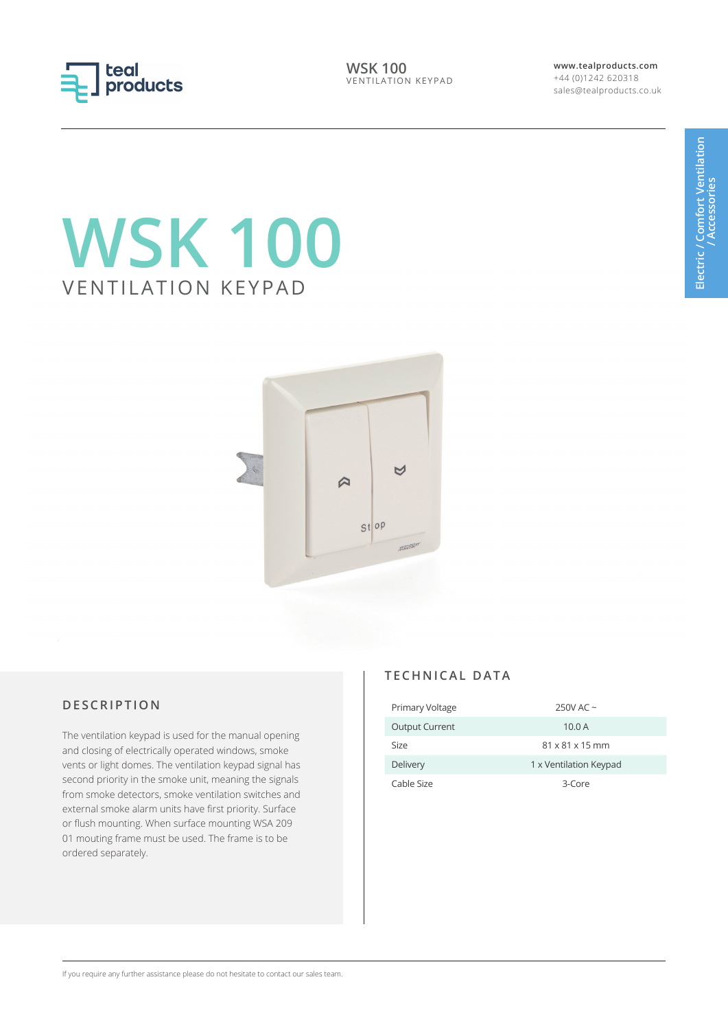

**WSK 100** VENTILATION KEYPAD **www.tealproducts.com** +44 (0)1242 620318 sales@tealproducts.co.uk

# **WSK 100** VENTILATION KEYPAD



## **DESCRIPTION**

The ventilation keypad is used for the manual opening and closing of electrically operated windows, smoke vents or light domes. The ventilation keypad signal has second priority in the smoke unit, meaning the signals from smoke detectors, smoke ventilation switches and external smoke alarm units have first priority. Surface or flush mounting. When surface mounting WSA 209 01 mouting frame must be used. The frame is to be ordered separately.

### **TECHNICAL DATA**

| Primary Voltage       | 250V AC $\sim$              |
|-----------------------|-----------------------------|
| <b>Output Current</b> | 10.0A                       |
| Size                  | $81 \times 81 \times 15$ mm |
| Delivery              | 1 x Ventilation Keypad      |
| Cable Size            | 3-Core                      |

If you require any further assistance please do not hesitate to contact our sales team.